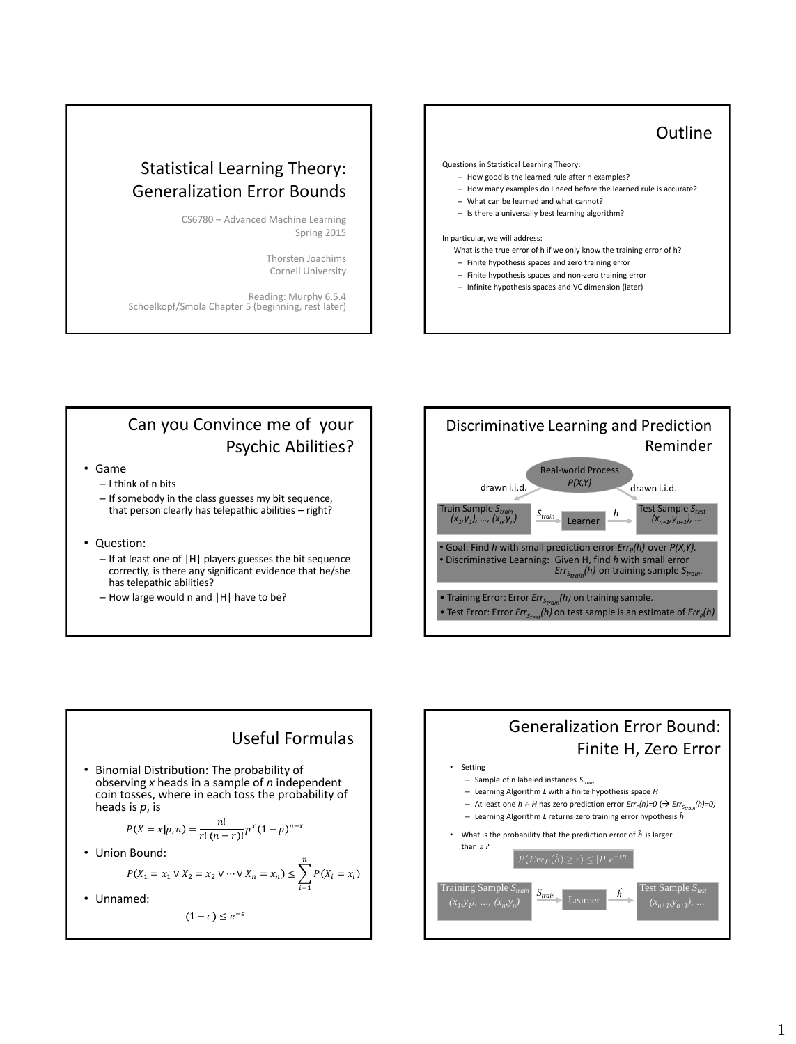## Statistical Learning Theory: Generalization Error Bounds

CS6780 – Advanced Machine Learning Spring 2015

> Thorsten Joachims Cornell University

Reading: Murphy 6.5.4 Schoelkopf/Smola Chapter 5 (beginning, rest later)

## **Outline** Questions in Statistical Learning Theory: – How good is the learned rule after n examples? – How many examples do I need before the learned rule is accurate? – What can be learned and what cannot? – Is there a universally best learning algorithm? In particular, we will address: What is the true error of h if we only know the training error of h? – Finite hypothesis spaces and zero training error – Finite hypothesis spaces and non-zero training error – Infinite hypothesis spaces and VC dimension (later)

## Can you Convince me of your Psychic Abilities?

- Game
	- I think of n bits
	- If somebody in the class guesses my bit sequence, that person clearly has telepathic abilities – right?
- Question:
	- If at least one of |H| players guesses the bit sequence correctly, is there any significant evidence that he/she has telepathic abilities?
	- How large would n and |H| have to be?







Generalization Error Bound:

$$
(1-\epsilon) \le e^{-\epsilon}
$$